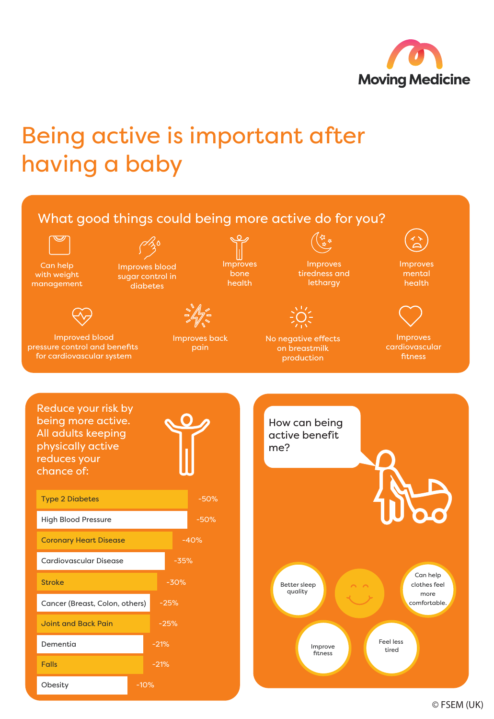

## Being active is important after having a baby



© FSEM (UK)